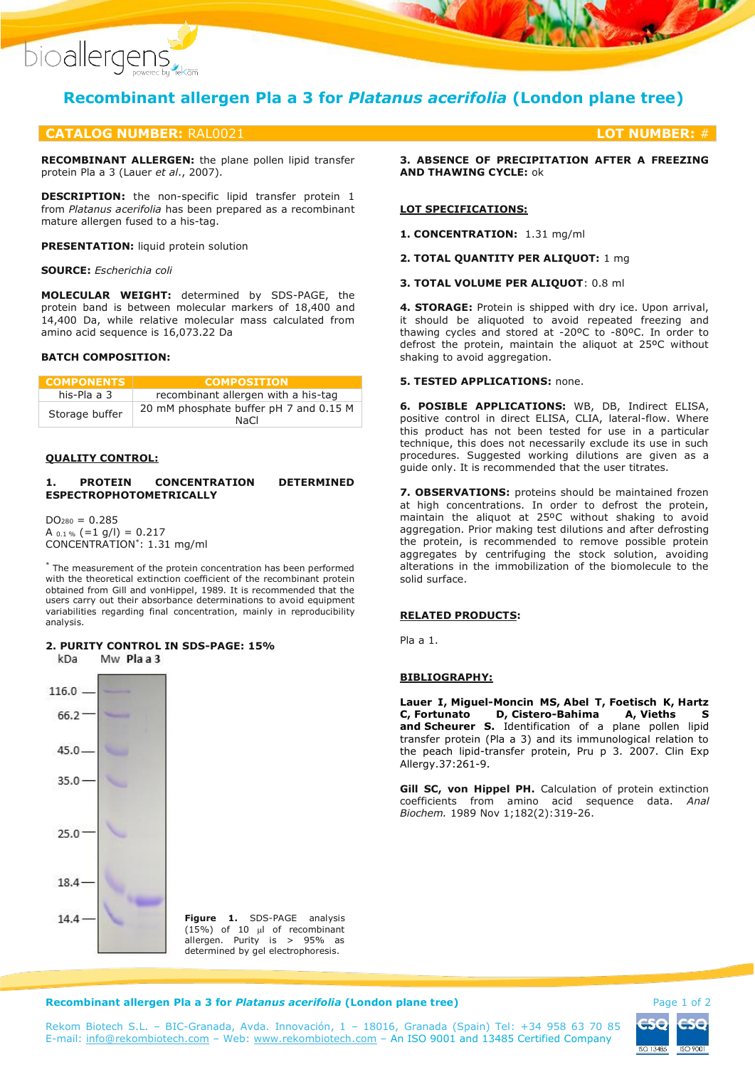

# **Recombinant allergen Pla a 3 for** *Platanus acerifolia* **(London plane tree)**

# **CATALOG NUMBER:** RAL0021 **LOT NUMBER:** #

**RECOMBINANT ALLERGEN:** the plane pollen lipid transfer protein Pla a 3 (Lauer *et al*., 2007).

**DESCRIPTION:** the non-specific lipid transfer protein 1 from *Platanus acerifolia* has been prepared as a recombinant mature allergen fused to a his-tag.

**PRESENTATION:** liquid protein solution

### **SOURCE:** *Escherichia coli*

**MOLECULAR WEIGHT:** determined by SDS-PAGE, the protein band is between molecular markers of 18,400 and 14,400 Da, while relative molecular mass calculated from amino acid sequence is 16,073.22 Da

# **BATCH COMPOSITION:**

| <b>COMPONENTS</b> | <b>COMPOSITION</b>                             |
|-------------------|------------------------------------------------|
| his-Pla a 3       | recombinant allergen with a his-tag            |
| Storage buffer    | 20 mM phosphate buffer pH 7 and 0.15 M<br>NaCl |

### **QUALITY CONTROL:**

### **1. PROTEIN CONCENTRATION DETERMINED ESPECTROPHOTOMETRICALLY**

 $DO<sub>280</sub> = 0.285$ A  $_{0.1\%}$  (=1 g/l) = 0.217 CONCENTRATION\* : 1.31 mg/ml

\* The measurement of the protein concentration has been performed with the theoretical extinction coefficient of the recombinant protein obtained from Gill and vonHippel, 1989. It is recommended that the users carry out their absorbance determinations to avoid equipment variabilities regarding final concentration, mainly in reproducibility analysis.

#### **2. PURITY CONTROL IN SDS-PAGE: 15%** kDa Mw Plaa3

 $116.0 66.2$  $45.0 35.0 25.0^{\circ}$ 18.4  $14.4 \cdot$ 

**Figure 1.** SDS-PAGE analysis  $(15%)$  of 10  $\mu$  of recombinant allergen. Purity is > 95% as determined by gel electrophoresis.

**3. ABSENCE OF PRECIPITATION AFTER A FREEZING AND THAWING CYCLE:** ok

### **LOT SPECIFICATIONS:**

**1. CONCENTRATION:** 1.31 mg/ml

**2. TOTAL QUANTITY PER ALIQUOT:** 1 mg

**3. TOTAL VOLUME PER ALIQUOT**: 0.8 ml

**4. STORAGE:** Protein is shipped with dry ice. Upon arrival, it should be aliquoted to avoid repeated freezing and thawing cycles and stored at -20ºC to -80ºC. In order to defrost the protein, maintain the aliquot at 25ºC without shaking to avoid aggregation.

# **5. TESTED APPLICATIONS:** none.

**6. POSIBLE APPLICATIONS:** WB, DB, Indirect ELISA, positive control in direct ELISA, CLIA, lateral-flow. Where this product has not been tested for use in a particular technique, this does not necessarily exclude its use in such procedures. Suggested working dilutions are given as a guide only. It is recommended that the user titrates.

**7. OBSERVATIONS:** proteins should be maintained frozen at high concentrations. In order to defrost the protein, maintain the aliquot at 25ºC without shaking to avoid aggregation. Prior making test dilutions and after defrosting the protein, is recommended to remove possible protein aggregates by centrifuging the stock solution, avoiding alterations in the immobilization of the biomolecule to the solid surface.

# **RELATED PRODUCTS:**

Pla a 1.

## **BIBLIOGRAPHY:**

**[Lauer I,](https://www.ncbi.nlm.nih.gov/pubmed/?term=Lauer%20I%5BAuthor%5D&cauthor=true&cauthor_uid=17250699) [Miguel-Moncin MS,](https://www.ncbi.nlm.nih.gov/pubmed/?term=Miguel-Moncin%20MS%5BAuthor%5D&cauthor=true&cauthor_uid=17250699) [Abel](https://www.ncbi.nlm.nih.gov/pubmed/?term=Abel%20T%5BAuthor%5D&cauthor=true&cauthor_uid=17250699) T, [Foetisch K,](https://www.ncbi.nlm.nih.gov/pubmed/?term=Foetisch%20K%5BAuthor%5D&cauthor=true&cauthor_uid=17250699) [Hartz](https://www.ncbi.nlm.nih.gov/pubmed/?term=Hartz%20C%5BAuthor%5D&cauthor=true&cauthor_uid=17250699)  [C,](https://www.ncbi.nlm.nih.gov/pubmed/?term=Hartz%20C%5BAuthor%5D&cauthor=true&cauthor_uid=17250699) [Fortunato D,](https://www.ncbi.nlm.nih.gov/pubmed/?term=Fortunato%20D%5BAuthor%5D&cauthor=true&cauthor_uid=17250699) [Cistero-Bahima A,](https://www.ncbi.nlm.nih.gov/pubmed/?term=Cistero-Bahima%20A%5BAuthor%5D&cauthor=true&cauthor_uid=17250699) [Vieths S](https://www.ncbi.nlm.nih.gov/pubmed/?term=Vieths%20S%5BAuthor%5D&cauthor=true&cauthor_uid=17250699) and [Scheurer S.](https://www.ncbi.nlm.nih.gov/pubmed/?term=Scheurer%20S%5BAuthor%5D&cauthor=true&cauthor_uid=17250699)** Identification of a plane pollen lipid transfer protein (Pla a 3) and its immunological relation to the peach lipid-transfer protein, Pru p 3. 2007. [Clin Exp](https://www.ncbi.nlm.nih.gov/pubmed/17250699?dopt=AbstractPlus)  [Allergy.3](https://www.ncbi.nlm.nih.gov/pubmed/17250699?dopt=AbstractPlus)7:261-9.

**Gill SC, von Hippel PH.** Calculation of protein extinction coefficients from amino acid sequence data. *Anal Biochem.* 1989 Nov 1;182(2):319-26.

### **Recombinant allergen Pla a 3 for** *Platanus acerifolia* **(London plane tree) <b>Page 1 of 2** Page 1 of 2

ISO 13485 **ISO 9001** 

Rekom Biotech S.L. – BIC-Granada, Avda. Innovación, 1 – 18016, Granada (Spain) Tel: +34 958 63 70 85 E-mail: [info@rekombiotech.com](mailto:info@rekombiotech.com) – Web: [www.rekombiotech.com](file:///D:/Dropbox/Rekom/pdfs/www.rekombiotech.com) – An ISO 9001 and 13485 Certified Company